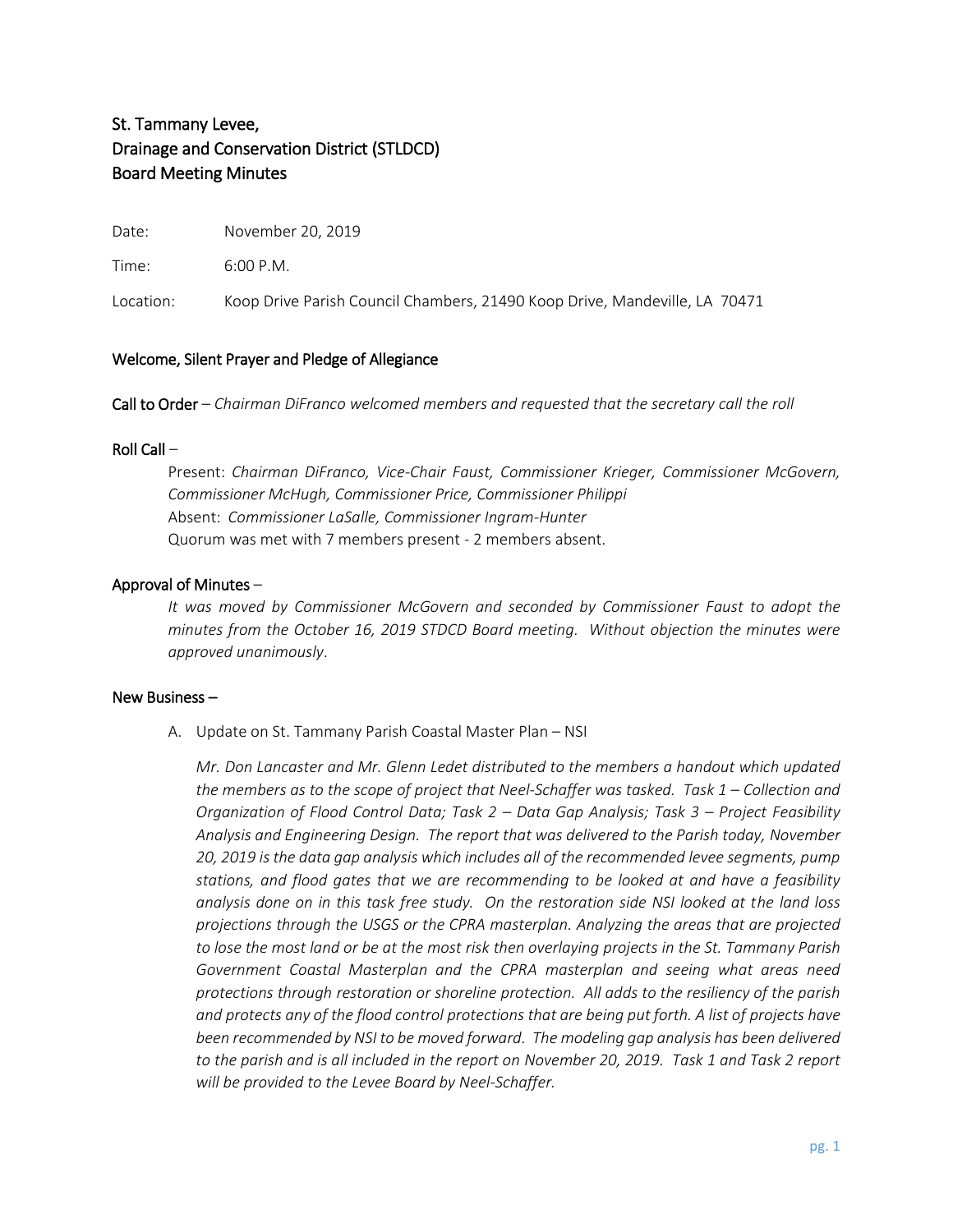# St. Tammany Levee, Drainage and Conservation District (STLDCD) Board Meeting Minutes

Date: November 20, 2019

Time: 6:00 P.M.

Location: Koop Drive Parish Council Chambers, 21490 Koop Drive, Mandeville, LA 70471

## Welcome, Silent Prayer and Pledge of Allegiance

Call to Order – *Chairman DiFranco welcomed members and requested that the secretary call the roll*

# Roll Call –

Present: *Chairman DiFranco, Vice-Chair Faust, Commissioner Krieger, Commissioner McGovern, Commissioner McHugh, Commissioner Price, Commissioner Philippi* Absent: *Commissioner LaSalle, Commissioner Ingram-Hunter* Quorum was met with 7 members present - 2 members absent.

# Approval of Minutes –

*It was moved by Commissioner McGovern and seconded by Commissioner Faust to adopt the minutes from the October 16, 2019 STDCD Board meeting. Without objection the minutes were approved unanimously*.

#### New Business –

A. Update on St. Tammany Parish Coastal Master Plan – NSI

*Mr. Don Lancaster and Mr. Glenn Ledet distributed to the members a handout which updated the members as to the scope of project that Neel-Schaffer was tasked. Task 1 – Collection and Organization of Flood Control Data; Task 2 – Data Gap Analysis; Task 3 – Project Feasibility Analysis and Engineering Design. The report that was delivered to the Parish today, November 20, 2019 is the data gap analysis which includes all of the recommended levee segments, pump stations, and flood gates that we are recommending to be looked at and have a feasibility analysis done on in this task free study. On the restoration side NSI looked at the land loss projections through the USGS or the CPRA masterplan. Analyzing the areas that are projected to lose the most land or be at the most risk then overlaying projects in the St. Tammany Parish Government Coastal Masterplan and the CPRA masterplan and seeing what areas need protections through restoration or shoreline protection. All adds to the resiliency of the parish and protects any of the flood control protections that are being put forth. A list of projects have been recommended by NSI to be moved forward. The modeling gap analysis has been delivered to the parish and is all included in the report on November 20, 2019. Task 1 and Task 2 report will be provided to the Levee Board by Neel-Schaffer.*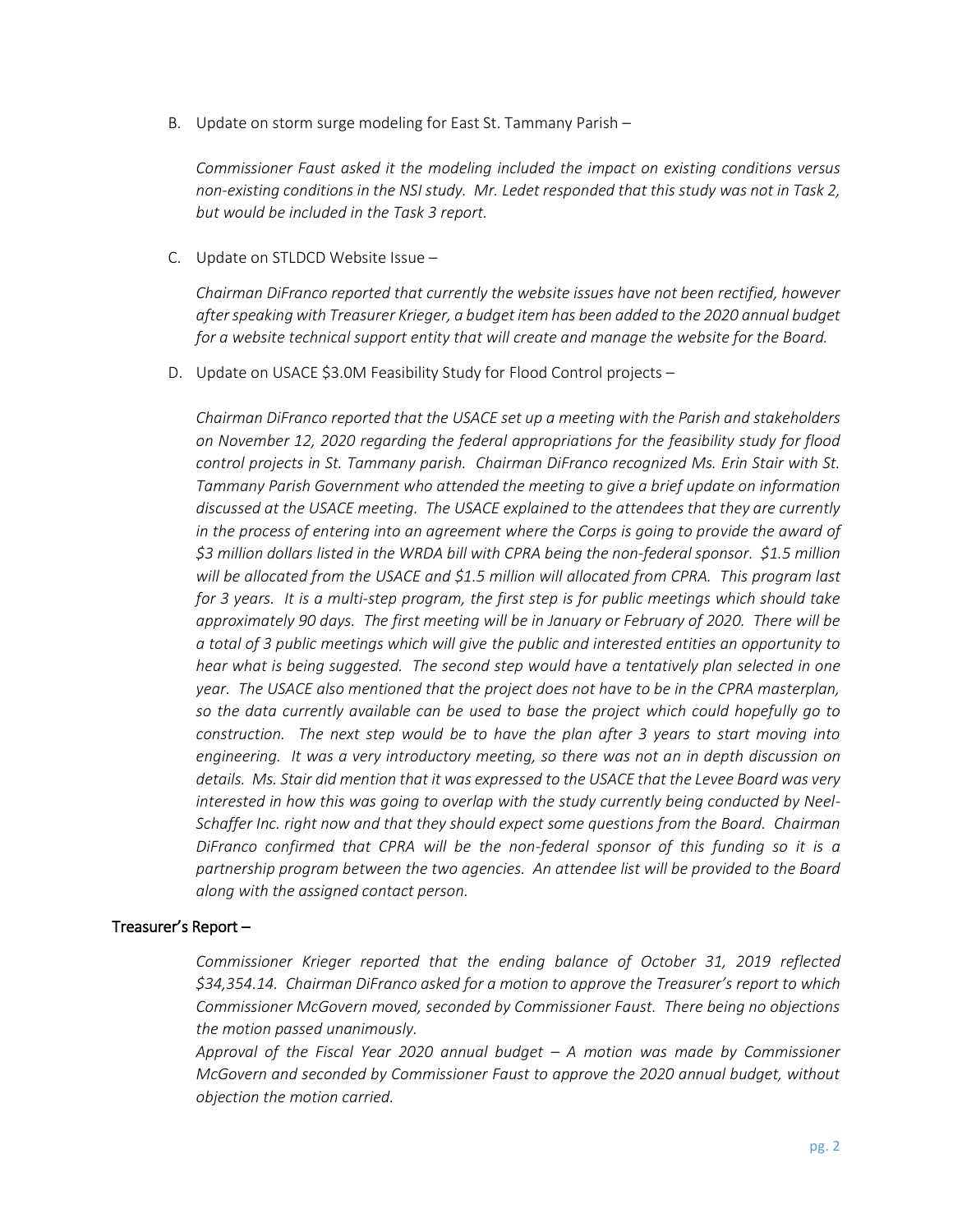B. Update on storm surge modeling for East St. Tammany Parish –

*Commissioner Faust asked it the modeling included the impact on existing conditions versus non-existing conditions in the NSI study. Mr. Ledet responded that this study was not in Task 2, but would be included in the Task 3 report.* 

C. Update on STLDCD Website Issue –

*Chairman DiFranco reported that currently the website issues have not been rectified, however after speaking with Treasurer Krieger, a budget item has been added to the 2020 annual budget for a website technical support entity that will create and manage the website for the Board.*

D. Update on USACE \$3.0M Feasibility Study for Flood Control projects –

*Chairman DiFranco reported that the USACE set up a meeting with the Parish and stakeholders on November 12, 2020 regarding the federal appropriations for the feasibility study for flood control projects in St. Tammany parish. Chairman DiFranco recognized Ms. Erin Stair with St. Tammany Parish Government who attended the meeting to give a brief update on information discussed at the USACE meeting. The USACE explained to the attendees that they are currently in the process of entering into an agreement where the Corps is going to provide the award of \$3 million dollars listed in the WRDA bill with CPRA being the non-federal sponsor. \$1.5 million will be allocated from the USACE and \$1.5 million will allocated from CPRA. This program last for 3 years. It is a multi-step program, the first step is for public meetings which should take approximately 90 days. The first meeting will be in January or February of 2020. There will be a total of 3 public meetings which will give the public and interested entities an opportunity to hear what is being suggested. The second step would have a tentatively plan selected in one year. The USACE also mentioned that the project does not have to be in the CPRA masterplan, so the data currently available can be used to base the project which could hopefully go to construction. The next step would be to have the plan after 3 years to start moving into engineering. It was a very introductory meeting, so there was not an in depth discussion on details. Ms. Stair did mention that it was expressed to the USACE that the Levee Board was very interested in how this was going to overlap with the study currently being conducted by Neel-Schaffer Inc. right now and that they should expect some questions from the Board. Chairman DiFranco confirmed that CPRA will be the non-federal sponsor of this funding so it is a partnership program between the two agencies. An attendee list will be provided to the Board along with the assigned contact person.*

#### Treasurer's Report –

*Commissioner Krieger reported that the ending balance of October 31, 2019 reflected \$34,354.14. Chairman DiFranco asked for a motion to approve the Treasurer's report to which Commissioner McGovern moved, seconded by Commissioner Faust. There being no objections the motion passed unanimously.*

*Approval of the Fiscal Year 2020 annual budget – A motion was made by Commissioner McGovern and seconded by Commissioner Faust to approve the 2020 annual budget, without objection the motion carried.*